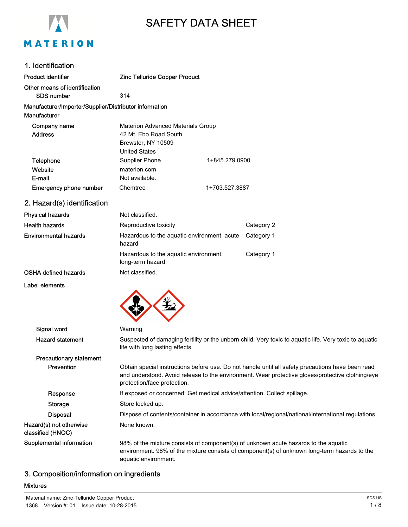

# SAFETY DATA SHEET

## 1. Identification

| Product identifier                                                     | <b>Zinc Telluride Copper Product</b>                                                                            |                |
|------------------------------------------------------------------------|-----------------------------------------------------------------------------------------------------------------|----------------|
| Other means of identification<br>SDS number                            | 314                                                                                                             |                |
| Manufacturer/Importer/Supplier/Distributor information<br>Manufacturer |                                                                                                                 |                |
| Company name<br><b>Address</b>                                         | <b>Materion Advanced Materials Group</b><br>42 Mt. Ebo Road South<br>Brewster, NY 10509<br><b>United States</b> |                |
| Telephone<br>Website<br>E-mail                                         | Supplier Phone<br>materion.com<br>Not available.                                                                | 1+845.279.0900 |
| <b>Emergency phone number</b>                                          | Chemtrec                                                                                                        | 1+703.527.3887 |
| 2. Hazard(s) identification                                            |                                                                                                                 |                |
| Physical hazards                                                       | Not classified.                                                                                                 |                |
| .                                                                      |                                                                                                                 |                |

| <b>Health hazards</b>        | Reproductive toxicity                                            | Category 2 |
|------------------------------|------------------------------------------------------------------|------------|
| <b>Environmental hazards</b> | Hazardous to the aquatic environment, acute Category 1<br>hazard |            |
|                              | Hazardous to the aguatic environment.<br>long-term hazard        | Category 1 |
| <b>OSHA defined hazards</b>  | Not classified.                                                  |            |

Label elements



| Signal word                                  | Warning                                                                                                                                                                                                                              |
|----------------------------------------------|--------------------------------------------------------------------------------------------------------------------------------------------------------------------------------------------------------------------------------------|
| <b>Hazard statement</b>                      | Suspected of damaging fertility or the unborn child. Very toxic to aquatic life. Very toxic to aquatic<br>life with long lasting effects.                                                                                            |
| <b>Precautionary statement</b>               |                                                                                                                                                                                                                                      |
| <b>Prevention</b>                            | Obtain special instructions before use. Do not handle until all safety precautions have been read<br>and understood. Avoid release to the environment. Wear protective gloves/protective clothing/eye<br>protection/face protection. |
| Response                                     | If exposed or concerned: Get medical advice/attention. Collect spillage.                                                                                                                                                             |
| Storage                                      | Store locked up.                                                                                                                                                                                                                     |
| <b>Disposal</b>                              | Dispose of contents/container in accordance with local/regional/national/international regulations.                                                                                                                                  |
| Hazard(s) not otherwise<br>classified (HNOC) | None known.                                                                                                                                                                                                                          |
| Supplemental information                     | 98% of the mixture consists of component(s) of unknown acute hazards to the aquatic<br>environment. 98% of the mixture consists of component(s) of unknown long-term hazards to the<br>aquatic environment.                          |

# 3. Composition/information on ingredients

#### Mixtures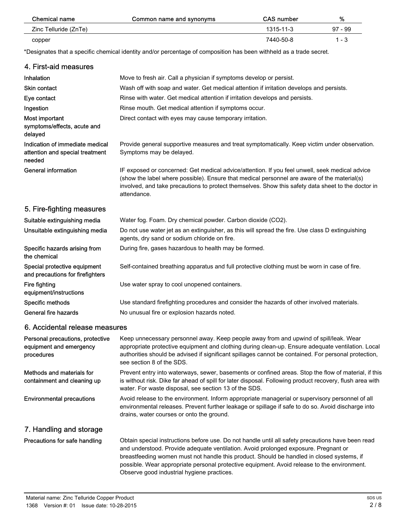| Chemical name         | Common name and synonyms | <b>CAS number</b> | %         |
|-----------------------|--------------------------|-------------------|-----------|
| Zinc Telluride (ZnTe) |                          | 1315-11-3         | $97 - 99$ |
| copper                |                          | 7440-50-8         | $1 - 3$   |

\*Designates that a specific chemical identity and/or percentage of composition has been withheld as a trade secret.

| 4. First-aid measures                                                        |                                                                                                                                                                                                                                                                                                                                 |
|------------------------------------------------------------------------------|---------------------------------------------------------------------------------------------------------------------------------------------------------------------------------------------------------------------------------------------------------------------------------------------------------------------------------|
| Inhalation                                                                   | Move to fresh air. Call a physician if symptoms develop or persist.                                                                                                                                                                                                                                                             |
| <b>Skin contact</b>                                                          | Wash off with soap and water. Get medical attention if irritation develops and persists.                                                                                                                                                                                                                                        |
| Eye contact                                                                  | Rinse with water. Get medical attention if irritation develops and persists.                                                                                                                                                                                                                                                    |
| Ingestion                                                                    | Rinse mouth. Get medical attention if symptoms occur.                                                                                                                                                                                                                                                                           |
| Most important<br>symptoms/effects, acute and<br>delayed                     | Direct contact with eyes may cause temporary irritation.                                                                                                                                                                                                                                                                        |
| Indication of immediate medical<br>attention and special treatment<br>needed | Provide general supportive measures and treat symptomatically. Keep victim under observation.<br>Symptoms may be delayed.                                                                                                                                                                                                       |
| <b>General information</b>                                                   | IF exposed or concerned: Get medical advice/attention. If you feel unwell, seek medical advice<br>(show the label where possible). Ensure that medical personnel are aware of the material(s)<br>involved, and take precautions to protect themselves. Show this safety data sheet to the doctor in<br>attendance.              |
| 5. Fire-fighting measures                                                    |                                                                                                                                                                                                                                                                                                                                 |
| Suitable extinguishing media                                                 | Water fog. Foam. Dry chemical powder. Carbon dioxide (CO2).                                                                                                                                                                                                                                                                     |
| Unsuitable extinguishing media                                               | Do not use water jet as an extinguisher, as this will spread the fire. Use class D extinguishing<br>agents, dry sand or sodium chloride on fire.                                                                                                                                                                                |
| Specific hazards arising from<br>the chemical                                | During fire, gases hazardous to health may be formed.                                                                                                                                                                                                                                                                           |
| Special protective equipment<br>and precautions for firefighters             | Self-contained breathing apparatus and full protective clothing must be worn in case of fire.                                                                                                                                                                                                                                   |
| Fire fighting<br>equipment/instructions                                      | Use water spray to cool unopened containers.                                                                                                                                                                                                                                                                                    |
| Specific methods                                                             | Use standard firefighting procedures and consider the hazards of other involved materials.                                                                                                                                                                                                                                      |
| <b>General fire hazards</b>                                                  | No unusual fire or explosion hazards noted.                                                                                                                                                                                                                                                                                     |
| 6. Accidental release measures                                               |                                                                                                                                                                                                                                                                                                                                 |
| Personal precautions, protective<br>equipment and emergency<br>procedures    | Keep unnecessary personnel away. Keep people away from and upwind of spill/leak. Wear<br>appropriate protective equipment and clothing during clean-up. Ensure adequate ventilation. Local<br>authorities should be advised if significant spillages cannot be contained. For personal protection,<br>see section 8 of the SDS. |
| Methods and materials for<br>containment and cleaning up                     | Prevent entry into waterways, sewer, basements or confined areas. Stop the flow of material, if this<br>is without risk. Dike far ahead of spill for later disposal. Following product recovery, flush area with<br>water. For waste disposal, see section 13 of the SDS.                                                       |
| <b>Environmental precautions</b>                                             | Avoid release to the environment. Inform appropriate managerial or supervisory personnel of all<br>environmental releases. Prevent further leakage or spillage if safe to do so. Avoid discharge into<br>drains, water courses or onto the ground.                                                                              |
| 7. Handling and storage                                                      |                                                                                                                                                                                                                                                                                                                                 |
| Precautions for safe handling                                                | Obtain special instructions before use. Do not handle until all safety precautions have been read<br>and understood. Provide adequate ventilation. Avoid prolonged exposure. Pregnant or<br>breastfeeding women must not handle this product. Should be handled in closed systems, if                                           |

Observe good industrial hygiene practices.

possible. Wear appropriate personal protective equipment. Avoid release to the environment.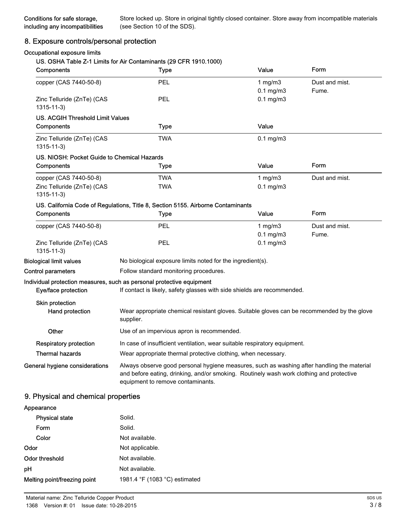Store locked up. Store in original tightly closed container. Store away from incompatible materials (see Section 10 of the SDS).

## 8. Exposure controls/personal protection

#### Occupational exposure limits

#### US. OSHA Table Z-1 Limits for Air Contaminants (29 CFR 1910.1000)

| Components                                    | <b>Type</b>                                                                                                                                                                                                                 | Value                            | Form                    |
|-----------------------------------------------|-----------------------------------------------------------------------------------------------------------------------------------------------------------------------------------------------------------------------------|----------------------------------|-------------------------|
| copper (CAS 7440-50-8)                        | PEL                                                                                                                                                                                                                         | 1 $mg/m3$                        | Dust and mist.<br>Fume. |
| Zinc Telluride (ZnTe) (CAS<br>$1315 - 11 - 3$ | PEL                                                                                                                                                                                                                         | $0.1$ mg/m $3$<br>$0.1$ mg/m $3$ |                         |
| <b>US. ACGIH Threshold Limit Values</b>       |                                                                                                                                                                                                                             |                                  |                         |
| Components                                    | <b>Type</b>                                                                                                                                                                                                                 | Value                            |                         |
| Zinc Telluride (ZnTe) (CAS<br>$1315 - 11 - 3$ | <b>TWA</b>                                                                                                                                                                                                                  | $0.1$ mg/m $3$                   |                         |
| US, NIOSH: Pocket Guide to Chemical Hazards   |                                                                                                                                                                                                                             |                                  |                         |
| Components                                    | Type                                                                                                                                                                                                                        | Value                            | Form                    |
| copper (CAS 7440-50-8)                        | TWA                                                                                                                                                                                                                         | 1 mg/m $3$                       | Dust and mist.          |
| Zinc Telluride (ZnTe) (CAS<br>$1315 - 11 - 3$ | <b>TWA</b>                                                                                                                                                                                                                  | $0.1$ mg/m $3$                   |                         |
|                                               | US. California Code of Regulations, Title 8, Section 5155. Airborne Contaminants                                                                                                                                            |                                  |                         |
| Components                                    | Type                                                                                                                                                                                                                        | Value                            | Form                    |
| copper (CAS 7440-50-8)                        | PEL                                                                                                                                                                                                                         | 1 $mg/m3$                        | Dust and mist.          |
|                                               |                                                                                                                                                                                                                             | $0.1$ mg/m $3$                   | Fume.                   |
| Zinc Telluride (ZnTe) (CAS<br>$1315 - 11 - 3$ | PEL                                                                                                                                                                                                                         | $0.1$ mg/m $3$                   |                         |
| <b>Biological limit values</b>                | No biological exposure limits noted for the ingredient(s).                                                                                                                                                                  |                                  |                         |
| <b>Control parameters</b>                     | Follow standard monitoring procedures.                                                                                                                                                                                      |                                  |                         |
|                                               | Individual protection measures, such as personal protective equipment                                                                                                                                                       |                                  |                         |
| Eye/face protection                           | If contact is likely, safety glasses with side shields are recommended.                                                                                                                                                     |                                  |                         |
| Skin protection                               |                                                                                                                                                                                                                             |                                  |                         |
| Hand protection                               | Wear appropriate chemical resistant gloves. Suitable gloves can be recommended by the glove<br>supplier.                                                                                                                    |                                  |                         |
| Other                                         | Use of an impervious apron is recommended.                                                                                                                                                                                  |                                  |                         |
| <b>Respiratory protection</b>                 | In case of insufficient ventilation, wear suitable respiratory equipment.                                                                                                                                                   |                                  |                         |
| <b>Thermal hazards</b>                        | Wear appropriate thermal protective clothing, when necessary.                                                                                                                                                               |                                  |                         |
| General hygiene considerations                | Always observe good personal hygiene measures, such as washing after handling the material<br>and before eating, drinking, and/or smoking. Routinely wash work clothing and protective<br>equipment to remove contaminants. |                                  |                         |

#### 9. Physical and chemical properties

# Appearance Physical state Solid. Form Solid. Color Not available. Odor Not applicable. Odor threshold Not available. pH Not available. Melting point/freezing point 1981.4 °F (1083 °C) estimated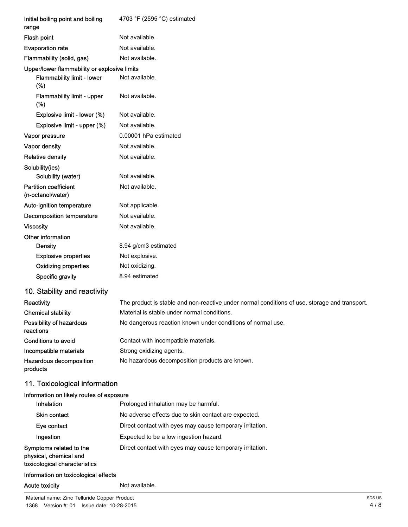| Initial boiling point and boiling<br>range        | 4703 °F (2595 °C) estimated                                                                   |
|---------------------------------------------------|-----------------------------------------------------------------------------------------------|
| Flash point                                       | Not available.                                                                                |
| <b>Evaporation rate</b>                           | Not available.                                                                                |
| Flammability (solid, gas)                         | Not available.                                                                                |
| Upper/lower flammability or explosive limits      |                                                                                               |
| <b>Flammability limit - lower</b><br>(%)          | Not available.                                                                                |
| Flammability limit - upper<br>(%)                 | Not available.                                                                                |
| Explosive limit - lower (%)                       | Not available.                                                                                |
| Explosive limit - upper (%)                       | Not available.                                                                                |
| Vapor pressure                                    | 0.00001 hPa estimated                                                                         |
| Vapor density                                     | Not available.                                                                                |
| <b>Relative density</b>                           | Not available.                                                                                |
| Solubility(ies)                                   |                                                                                               |
| Solubility (water)                                | Not available.                                                                                |
| <b>Partition coefficient</b><br>(n-octanol/water) | Not available.                                                                                |
| Auto-ignition temperature                         | Not applicable.                                                                               |
| <b>Decomposition temperature</b>                  | Not available.                                                                                |
| <b>Viscosity</b>                                  | Not available.                                                                                |
| Other information                                 |                                                                                               |
| Density                                           | 8.94 g/cm3 estimated                                                                          |
| <b>Explosive properties</b>                       | Not explosive.                                                                                |
| <b>Oxidizing properties</b>                       | Not oxidizing.                                                                                |
| Specific gravity                                  | 8.94 estimated                                                                                |
| 10. Stability and reactivity                      |                                                                                               |
| Reactivity                                        | The product is stable and non-reactive under normal conditions of use, storage and transport. |
| <b>Chemical stability</b>                         | Material is stable under normal conditions.                                                   |
| Possibility of hazardous<br>reactions             | No dangerous reaction known under conditions of normal use.                                   |
| <b>Conditions to avoid</b>                        | Contact with incompatible materials.                                                          |
| Incompatible materials                            | Strong oxidizing agents.                                                                      |
| Hazardous decomposition<br>products               | No hazardous decomposition products are known.                                                |
| 11. Toxicological information                     |                                                                                               |
| Information on likely routes of exposure          |                                                                                               |
| Inhalation                                        | Prolonged inhalation may be harmful.                                                          |
| <b>Skin contact</b>                               | No adverse effects due to skin contact are expected.                                          |
| Eye contact                                       | Direct contact with eyes may cause temporary irritation.                                      |
| Ingestion                                         | Expected to be a low ingestion hazard.                                                        |
| Symptoms related to the<br>physical, chemical and | Direct contact with eyes may cause temporary irritation.                                      |

toxicological characteristics

#### Information on toxicological effects

#### Acute toxicity **Not available.**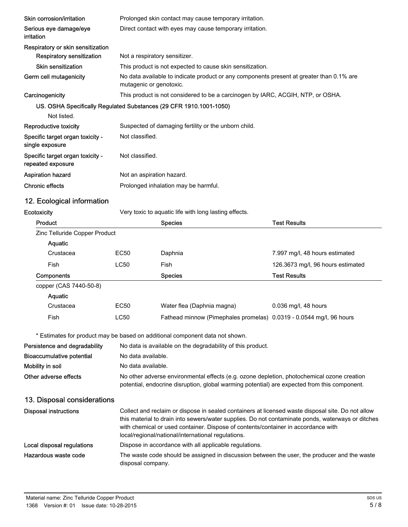| Skin corrosion/irritation                             | Prolonged skin contact may cause temporary irritation.                                                              |
|-------------------------------------------------------|---------------------------------------------------------------------------------------------------------------------|
| Serious eye damage/eye<br>irritation                  | Direct contact with eyes may cause temporary irritation.                                                            |
| Respiratory or skin sensitization                     |                                                                                                                     |
| Respiratory sensitization                             | Not a respiratory sensitizer.                                                                                       |
| Skin sensitization                                    | This product is not expected to cause skin sensitization.                                                           |
| Germ cell mutagenicity                                | No data available to indicate product or any components present at greater than 0.1% are<br>mutagenic or genotoxic. |
| Carcinogenicity                                       | This product is not considered to be a carcinogen by IARC, ACGIH, NTP, or OSHA.                                     |
|                                                       | US. OSHA Specifically Regulated Substances (29 CFR 1910.1001-1050)                                                  |
| Not listed.                                           |                                                                                                                     |
| Reproductive toxicity                                 | Suspected of damaging fertility or the unborn child.                                                                |
| Specific target organ toxicity -<br>single exposure   | Not classified.                                                                                                     |
| Specific target organ toxicity -<br>repeated exposure | Not classified.                                                                                                     |
| <b>Aspiration hazard</b>                              | Not an aspiration hazard.                                                                                           |
| <b>Chronic effects</b>                                | Prolonged inhalation may be harmful.                                                                                |

# 12. Ecological information

Ecotoxicity **Ecotoxicity** Very toxic to aquatic life with long lasting effects.

| Product                       |                  | <b>Species</b>                                                      | <b>Test Results</b>               |
|-------------------------------|------------------|---------------------------------------------------------------------|-----------------------------------|
| Zinc Telluride Copper Product |                  |                                                                     |                                   |
| <b>Aquatic</b>                |                  |                                                                     |                                   |
| Crustacea                     | EC <sub>50</sub> | Daphnia                                                             | 7.997 mg/l, 48 hours estimated    |
| Fish                          | LC50             | Fish                                                                | 126.3673 mg/l, 96 hours estimated |
| Components                    |                  | <b>Species</b>                                                      | <b>Test Results</b>               |
| copper (CAS 7440-50-8)        |                  |                                                                     |                                   |
| <b>Aquatic</b>                |                  |                                                                     |                                   |
| Crustacea                     | EC <sub>50</sub> | Water flea (Daphnia magna)                                          | 0.036 mg/l, 48 hours              |
| <b>Fish</b>                   | LC50             | Fathead minnow (Pimephales promelas) 0.0319 - 0.0544 mg/l, 96 hours |                                   |

\* Estimates for product may be based on additional component data not shown.

| Persistence and degradability    | No data is available on the degradability of this product.                                                                                                                                 |
|----------------------------------|--------------------------------------------------------------------------------------------------------------------------------------------------------------------------------------------|
| <b>Bioaccumulative potential</b> | No data available.                                                                                                                                                                         |
| Mobility in soil                 | No data available.                                                                                                                                                                         |
| Other adverse effects            | No other adverse environmental effects (e.g. ozone depletion, photochemical ozone creation<br>potential, endocrine disruption, global warming potential) are expected from this component. |

# 13. Disposal considerations

| <b>Disposal instructions</b> | Collect and reclaim or dispose in sealed containers at licensed waste disposal site. Do not allow<br>this material to drain into sewers/water supplies. Do not contaminate ponds, waterways or ditches<br>with chemical or used container. Dispose of contents/container in accordance with<br>local/regional/national/international regulations. |
|------------------------------|---------------------------------------------------------------------------------------------------------------------------------------------------------------------------------------------------------------------------------------------------------------------------------------------------------------------------------------------------|
| Local disposal regulations   | Dispose in accordance with all applicable regulations.                                                                                                                                                                                                                                                                                            |
| Hazardous waste code         | The waste code should be assigned in discussion between the user, the producer and the waste<br>disposal company.                                                                                                                                                                                                                                 |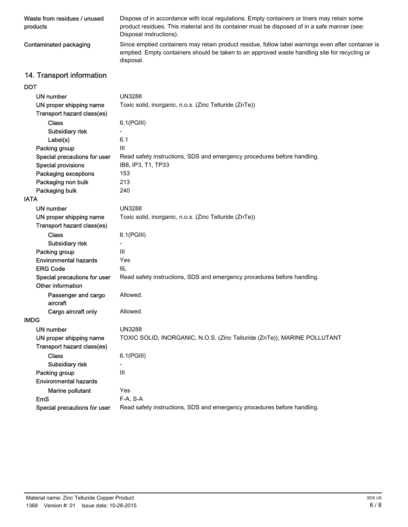| Waste from residues / unused<br>products | Dispose of in accordance with local regulations. Empty containers or liners may retain some<br>product residues. This material and its container must be disposed of in a safe manner (see:<br>Disposal instructions). |
|------------------------------------------|------------------------------------------------------------------------------------------------------------------------------------------------------------------------------------------------------------------------|
| Contaminated packaging                   | Since emptied containers may retain product residue, follow label warnings even after container is<br>emptied. Empty containers should be taken to an approved waste handling site for recycling or<br>disposal.       |
| .                                        |                                                                                                                                                                                                                        |

# 14. Transport information

# DOT

| <b>UN number</b>                | <b>UN3288</b>                                                            |  |  |
|---------------------------------|--------------------------------------------------------------------------|--|--|
| UN proper shipping name         | Toxic solid, inorganic, n.o.s. (Zinc Telluride (ZnTe))                   |  |  |
| Transport hazard class(es)      |                                                                          |  |  |
| <b>Class</b>                    | $6.1$ (PGIII)                                                            |  |  |
| Subsidiary risk                 |                                                                          |  |  |
| Label(s)                        | 6.1                                                                      |  |  |
| Packing group                   | Ш                                                                        |  |  |
| Special precautions for user    | Read safety instructions, SDS and emergency procedures before handling.  |  |  |
| <b>Special provisions</b>       | IB8, IP3, T1, TP33                                                       |  |  |
| Packaging exceptions            | 153                                                                      |  |  |
| Packaging non bulk              | 213                                                                      |  |  |
| Packaging bulk                  | 240                                                                      |  |  |
| <b>IATA</b>                     |                                                                          |  |  |
| UN number                       | <b>UN3288</b>                                                            |  |  |
| UN proper shipping name         | Toxic solid, inorganic, n.o.s. (Zinc Telluride (ZnTe))                   |  |  |
| Transport hazard class(es)      |                                                                          |  |  |
| <b>Class</b>                    | 6.1(PGIII)                                                               |  |  |
| Subsidiary risk                 |                                                                          |  |  |
| Packing group                   | Ш                                                                        |  |  |
| <b>Environmental hazards</b>    | Yes                                                                      |  |  |
| <b>ERG Code</b>                 | 6L                                                                       |  |  |
| Special precautions for user    | Read safety instructions, SDS and emergency procedures before handling.  |  |  |
| Other information               |                                                                          |  |  |
| Passenger and cargo<br>aircraft | Allowed.                                                                 |  |  |
| Cargo aircraft only             | Allowed.                                                                 |  |  |
| <b>IMDG</b>                     |                                                                          |  |  |
| UN number                       | <b>UN3288</b>                                                            |  |  |
| UN proper shipping name         | TOXIC SOLID, INORGANIC, N.O.S. (Zinc Telluride (ZnTe)), MARINE POLLUTANT |  |  |
| Transport hazard class(es)      |                                                                          |  |  |
| <b>Class</b>                    | 6.1(PGIII)                                                               |  |  |
| Subsidiary risk                 |                                                                          |  |  |
| Packing group                   | Ш                                                                        |  |  |
| <b>Environmental hazards</b>    |                                                                          |  |  |
| Marine pollutant                | Yes                                                                      |  |  |
| <b>EmS</b>                      | F-A, S-A                                                                 |  |  |
| Special precautions for user    | Read safety instructions, SDS and emergency procedures before handling.  |  |  |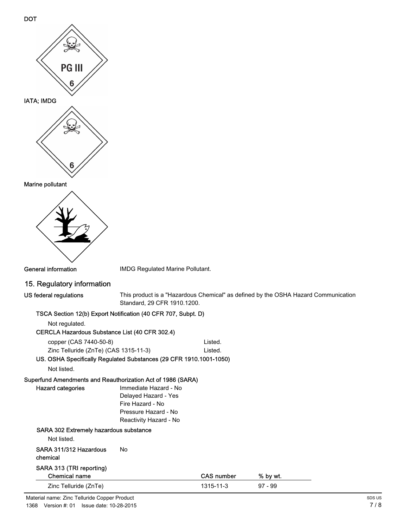



General information **IMDG** Regulated Marine Pollutant.

#### 15. Regulatory information

| US federal regulations |  |
|------------------------|--|
|------------------------|--|

This product is a "Hazardous Chemical" as defined by the OSHA Hazard Communication Standard, 29 CFR 1910.1200.

#### TSCA Section 12(b) Export Notification (40 CFR 707, Subpt. D)

Not regulated.

#### CERCLA Hazardous Substance List (40 CFR 302.4)

copper (CAS 7440-50-8) Listed. Zinc Telluride (ZnTe) (CAS 1315-11-3) Listed.

US. OSHA Specifically Regulated Substances (29 CFR 1910.1001-1050)

Not listed.

Hazard categories

# Superfund Amendments and Reauthorization Act of 1986 (SARA)

| Immediate Hazard - No  |  |  |  |
|------------------------|--|--|--|
| Delayed Hazard - Yes   |  |  |  |
| Fire Hazard - No       |  |  |  |
| Pressure Hazard - No   |  |  |  |
| Reactivity Hazard - No |  |  |  |

# SARA 302 Extremely hazardous substance

Not listed.

#### SARA 311/312 Hazardous No chemical

# SARA 313 (TRI reporting)

| Chemical name         | <b>CAS number</b> | % by wt. |  |
|-----------------------|-------------------|----------|--|
| Zinc Telluride (ZnTe) | 1315-11-3         | 97 - 99  |  |